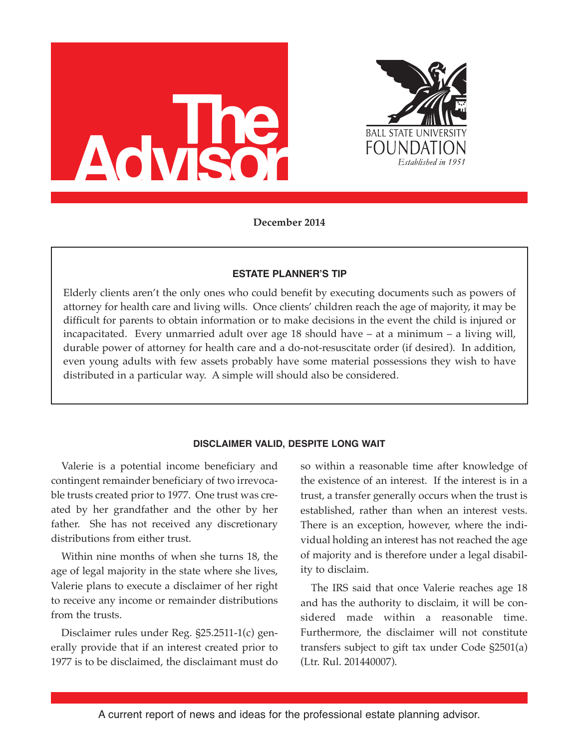



**December 2014**

## **ESTATE PLANNER'S TIP**

Elderly clients aren't the only ones who could benefit by executing documents such as powers of attorney for health care and living wills. Once clients' children reach the age of majority, it may be difficult for parents to obtain information or to make decisions in the event the child is injured or incapacitated. Every unmarried adult over age 18 should have – at a minimum – a living will, durable power of attorney for health care and a do-not-resuscitate order (if desired). In addition, even young adults with few assets probably have some material possessions they wish to have distributed in a particular way. A simple will should also be considered.

# **DISCLAIMER VALID, DESPITE LONG WAIT**

Valerie is a potential income beneficiary and contingent remainder beneficiary of two irrevocable trusts created prior to 1977. One trust was created by her grandfather and the other by her father. She has not received any discretionary distributions from either trust.

Within nine months of when she turns 18, the age of legal majority in the state where she lives, Valerie plans to execute a disclaimer of her right to receive any income or remainder distributions from the trusts.

Disclaimer rules under Reg. §25.2511-1(c) generally provide that if an interest created prior to 1977 is to be disclaimed, the disclaimant must do so within a reasonable time after knowledge of the existence of an interest. If the interest is in a trust, a transfer generally occurs when the trust is established, rather than when an interest vests. There is an exception, however, where the individual holding an interest has not reached the age of majority and is therefore under a legal disability to disclaim.

The IRS said that once Valerie reaches age 18 and has the authority to disclaim, it will be considered made within a reasonable time. Furthermore, the disclaimer will not constitute transfers subject to gift tax under Code §2501(a) (Ltr. Rul. 201440007).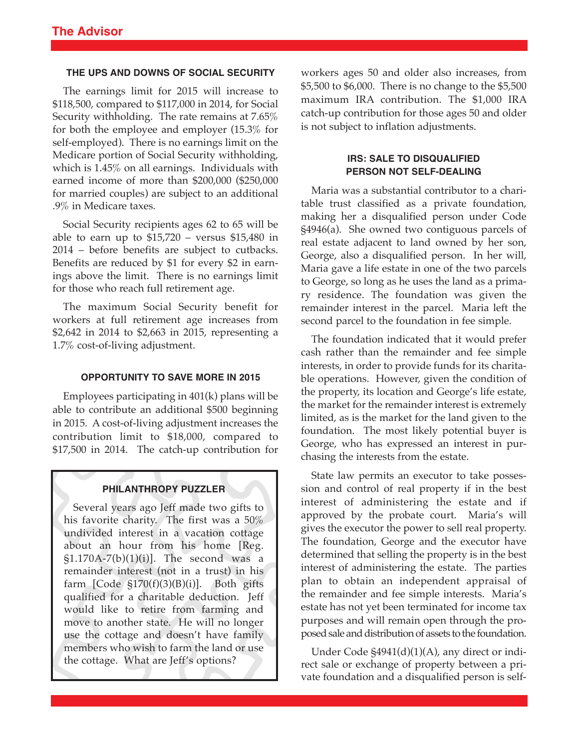# **THE UPS AND DOWNS OF SOCIAL SECURITY**

The earnings limit for 2015 will increase to \$118,500, compared to \$117,000 in 2014, for Social Security withholding. The rate remains at 7.65% for both the employee and employer (15.3% for self-employed). There is no earnings limit on the Medicare portion of Social Security withholding, which is 1.45% on all earnings. Individuals with earned income of more than \$200,000 (\$250,000 for married couples) are subject to an additional .9% in Medicare taxes.

Social Security recipients ages 62 to 65 will be able to earn up to  $$15,720$  – versus  $$15,480$  in 2014 – before benefits are subject to cutbacks. Benefits are reduced by \$1 for every \$2 in earnings above the limit. There is no earnings limit for those who reach full retirement age.

The maximum Social Security benefit for workers at full retirement age increases from \$2,642 in 2014 to \$2,663 in 2015, representing a 1.7% cost-of-living adjustment.

## **OPPORTUNITY TO SAVE MORE IN 2015**

Employees participating in 401(k) plans will be able to contribute an additional \$500 beginning in 2015. A cost-of-living adjustment increases the contribution limit to \$18,000, compared to \$17,500 in 2014. The catch-up contribution for

## **PHILANTHROPY PUZZLER**

Several years ago Jeff made two gifts to his favorite charity. The first was a 50% undivided interest in a vacation cottage about an hour from his home [Reg.  $\S1.170A-7(b)(1)(i)$ ]. The second was a remainder interest (not in a trust) in his farm [Code §170(f)(3)(B)(i)]. Both gifts qualified for a charitable deduction. Jeff would like to retire from farming and move to another state. He will no longer use the cottage and doesn't have family members who wish to farm the land or use the cottage. What are Jeff's options?

workers ages 50 and older also increases, from \$5,500 to \$6,000. There is no change to the \$5,500 maximum IRA contribution. The \$1,000 IRA catch-up contribution for those ages 50 and older is not subject to inflation adjustments.

# **IRS: SALE TO DISQUALIFIED PERSON NOT SELF-DEALING**

Maria was a substantial contributor to a charitable trust classified as a private foundation, making her a disqualified person under Code §4946(a). She owned two contiguous parcels of real estate adjacent to land owned by her son, George, also a disqualified person. In her will, Maria gave a life estate in one of the two parcels to George, so long as he uses the land as a primary residence. The foundation was given the remainder interest in the parcel. Maria left the second parcel to the foundation in fee simple.

The foundation indicated that it would prefer cash rather than the remainder and fee simple interests, in order to provide funds for its charitable operations. However, given the condition of the property, its location and George's life estate, the market for the remainder interest is extremely limited, as is the market for the land given to the foundation. The most likely potential buyer is George, who has expressed an interest in purchasing the interests from the estate.

State law permits an executor to take possession and control of real property if in the best interest of administering the estate and if approved by the probate court. Maria's will gives the executor the power to sell real property. The foundation, George and the executor have determined that selling the property is in the best interest of administering the estate. The parties plan to obtain an independent appraisal of the remainder and fee simple interests. Maria's estate has not yet been terminated for income tax purposes and will remain open through the proposed sale and distribution of assets to the foundation.

Under Code §4941(d)(1)(A), any direct or indirect sale or exchange of property between a private foundation and a disqualified person is self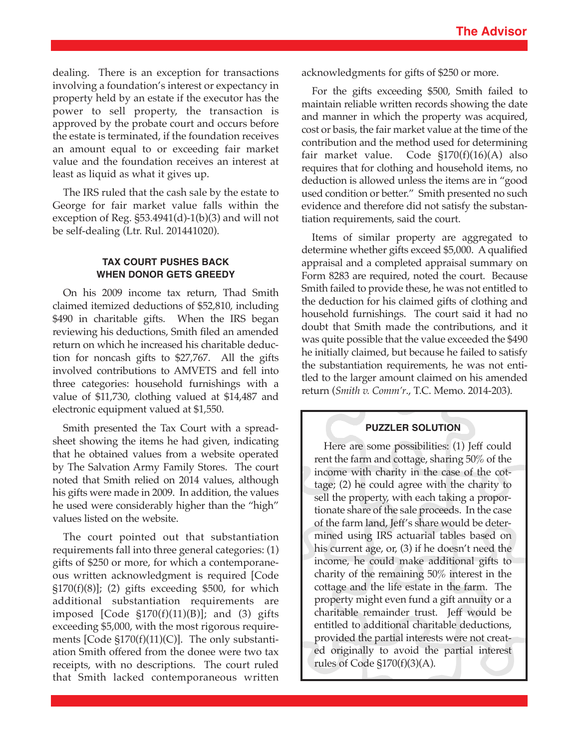dealing. There is an exception for transactions involving a foundation's interest or expectancy in property held by an estate if the executor has the power to sell property, the transaction is approved by the probate court and occurs before the estate is terminated, if the foundation receives an amount equal to or exceeding fair market value and the foundation receives an interest at least as liquid as what it gives up.

The IRS ruled that the cash sale by the estate to George for fair market value falls within the exception of Reg. §53.4941(d)-1(b)(3) and will not be self-dealing (Ltr. Rul. 201441020).

# **TAX COURT PUSHES BACK WHEN DONOR GETS GREEDY**

On his 2009 income tax return, Thad Smith claimed itemized deductions of \$52,810, including \$490 in charitable gifts. When the IRS began reviewing his deductions, Smith filed an amended return on which he increased his charitable deduction for noncash gifts to \$27,767. All the gifts involved contributions to AMVETS and fell into three categories: household furnishings with a value of \$11,730, clothing valued at \$14,487 and electronic equipment valued at \$1,550.

Smith presented the Tax Court with a spreadsheet showing the items he had given, indicating that he obtained values from a website operated by The Salvation Army Family Stores. The court noted that Smith relied on 2014 values, although his gifts were made in 2009. In addition, the values he used were considerably higher than the "high" values listed on the website.

The court pointed out that substantiation requirements fall into three general categories: (1) gifts of \$250 or more, for which a contemporaneous written acknowledgment is required [Code  $\S 170(f)(8)$ ; (2) gifts exceeding \$500, for which additional substantiation requirements are imposed [Code  $\S 170(f)(11)(B)$ ]; and (3) gifts exceeding \$5,000, with the most rigorous requirements [Code §170(f)(11)(C)]. The only substantiation Smith offered from the donee were two tax receipts, with no descriptions. The court ruled that Smith lacked contemporaneous written

acknowledgments for gifts of \$250 or more.

For the gifts exceeding \$500, Smith failed to maintain reliable written records showing the date and manner in which the property was acquired, cost or basis, the fair market value at the time of the contribution and the method used for determining fair market value. Code §170(f)(16)(A) also requires that for clothing and household items, no deduction is allowed unless the items are in "good used condition or better." Smith presented no such evidence and therefore did not satisfy the substantiation requirements, said the court.

Items of similar property are aggregated to determine whether gifts exceed \$5,000. A qualified appraisal and a completed appraisal summary on Form 8283 are required, noted the court. Because Smith failed to provide these, he was not entitled to the deduction for his claimed gifts of clothing and household furnishings. The court said it had no doubt that Smith made the contributions, and it was quite possible that the value exceeded the \$490 he initially claimed, but because he failed to satisfy the substantiation requirements, he was not entitled to the larger amount claimed on his amended return (*Smith v. Comm'r*., T.C. Memo. 2014-203).

## **PUZZLER SOLUTION**

Here are some possibilities: (1) Jeff could rent the farm and cottage, sharing 50% of the income with charity in the case of the cottage; (2) he could agree with the charity to sell the property, with each taking a proportionate share of the sale proceeds. In the case of the farm land, Jeff's share would be determined using IRS actuarial tables based on his current age, or, (3) if he doesn't need the income, he could make additional gifts to charity of the remaining 50% interest in the cottage and the life estate in the farm. The property might even fund a gift annuity or a charitable remainder trust. Jeff would be entitled to additional charitable deductions, provided the partial interests were not created originally to avoid the partial interest rules of Code §170(f)(3)(A).